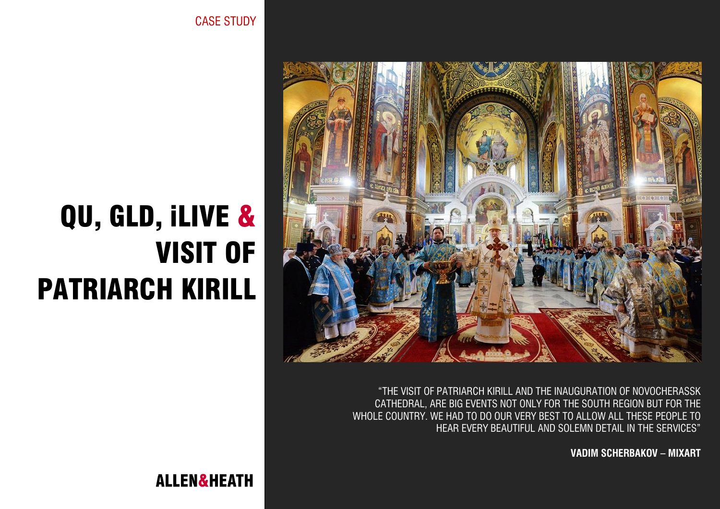"THE VISIT OF PATRIARCH KIRILL AND THE INAUGURATION OF NOVOCHERASSK CATHEDRAL, ARE BIG EVENTS NOT ONLY FOR THE SOUTH REGION BUT FOR THE WHOLE COUNTRY. WE HAD TO DO OUR VERY BEST TO ALLOW ALL THESE PEOPLE TO HEAR EVERY BEAUTIFUL AND SOLEMN DETAIL IN THE SERVICES"

**VADIM SCHERBAKOV – MIXART**

CASE STUDY

# QU, GLD, iLIVE & VISIT OF PATRIARCH KIRILL

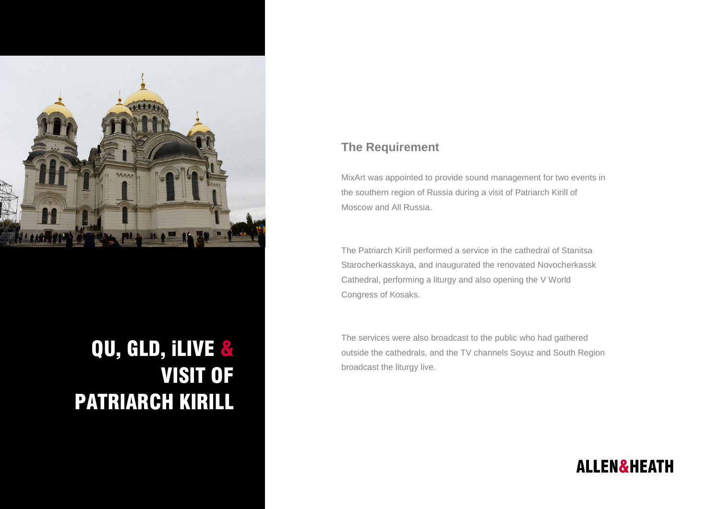

# QU, GLD, iLIVE & VISIT OF PATRIARCH KIRILL

#### **The Requirement**

MixArt was appointed to provide sound management for two events in the southern region of Russia during a visit of Patriarch Kirill of Moscow and All Russia.

The Patriarch Kirill performed a service in the cathedral of Stanitsa Starocherkasskaya, and inaugurated the renovated Novocherkassk Cathedral, performing a liturgy and also opening the V World Congress of Kosaks.

The services were also broadcast to the public who had gathered outside the cathedrals, and the TV channels Soyuz and South Region broadcast the liturgy live.

## **ALLEN&HEATH**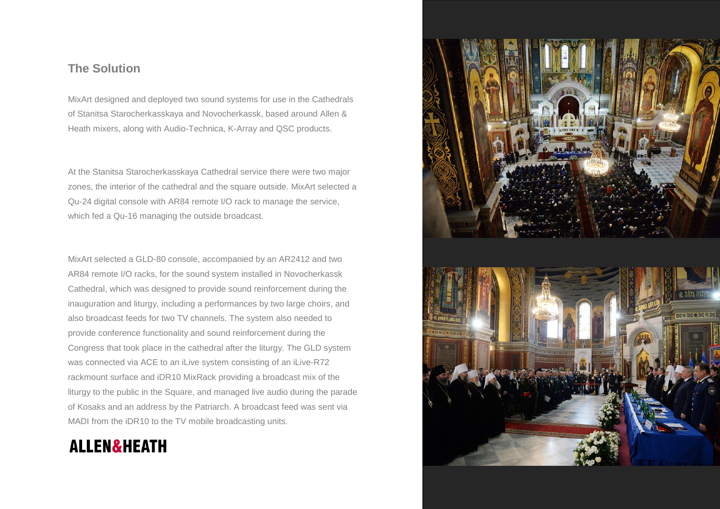#### **The Solution**

MixArt designed and deployed two sound systems for use in the Cathedrals of Stanitsa Starocherkasskaya and Novocherkassk, based around Allen & Heath mixers, along with Audio-Technica, K-Array and QSC products.

At the Stanitsa Starocherkasskaya Cathedral service there were two major zones, the interior of the cathedral and the square outside. MixArt selected a Qu-24 digital console with AR84 remote I/O rack to manage the service, which fed a Qu-16 managing the outside broadcast.

MixArt selected a GLD-80 console, accompanied by an AR2412 and two AR84 remote I/O racks, for the sound system installed in Novocherkassk Cathedral, which was designed to provide sound reinforcement during the inauguration and liturgy, including a performances by two large choirs, and also broadcast feeds for two TV channels. The system also needed to provide conference functionality and sound reinforcement during the Congress that took place in the cathedral after the liturgy. The GLD system was connected via ACE to an iLive system consisting of an iLive-R72 rackmount surface and iDR10 MixRack providing a broadcast mix of the liturgy to the public in the Square, and managed live audio during the parade of Kosaks and an address by the Patriarch. A broadcast feed was sent via MADI from the iDR10 to the TV mobile broadcasting units.